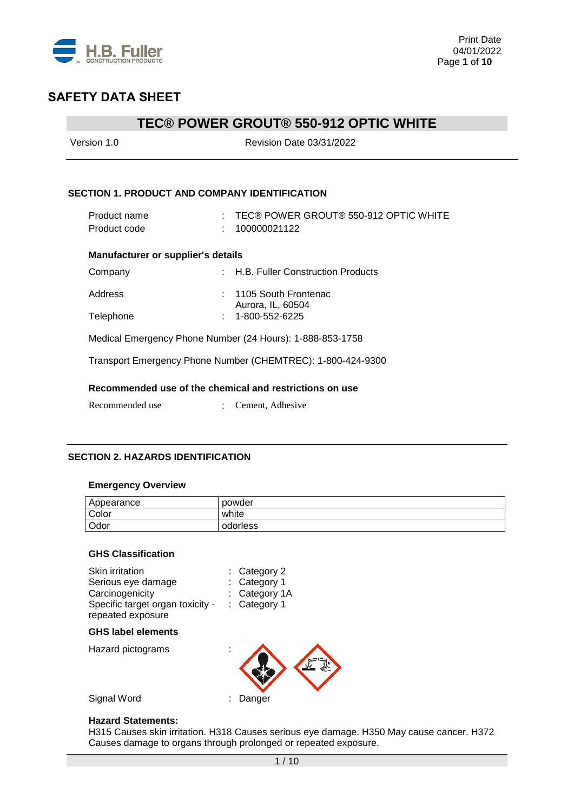

# **TEC® POWER GROUT® 550-912 OPTIC WHITE**

| Version 1.0                                          | <b>Revision Date 03/31/2022</b>                             |
|------------------------------------------------------|-------------------------------------------------------------|
| <b>SECTION 1. PRODUCT AND COMPANY IDENTIFICATION</b> |                                                             |
| Product name<br>Product code                         | TEC® POWER GROUT® 550-912 OPTIC WHITE<br>100000021122       |
| <b>Manufacturer or supplier's details</b>            |                                                             |
| Company                                              | : H.B. Fuller Construction Products                         |
| Address                                              | 1105 South Frontenac<br>Aurora, IL, 60504                   |
| Telephone                                            | 1-800-552-6225                                              |
|                                                      | Medical Emergency Phone Number (24 Hours): 1-888-853-1758   |
|                                                      | Transport Emergency Phone Number (CHEMTREC): 1-800-424-9300 |
|                                                      | Recommended use of the chemical and restrictions on use     |
| Recommended use                                      | Cement, Adhesive                                            |

## **SECTION 2. HAZARDS IDENTIFICATION**

### **Emergency Overview**

| Appearance | powder   |
|------------|----------|
| Color      | white    |
| Odor       | odorless |

## **GHS Classification**

| Skin irritation<br>Serious eye damage<br>Carcinogenicity<br>Specific target organ toxicity -<br>repeated exposure | $:$ Category 2<br>: Category 1<br>: Category 1A<br>: Category 1 |
|-------------------------------------------------------------------------------------------------------------------|-----------------------------------------------------------------|
| <b>GHS label elements</b>                                                                                         |                                                                 |
| Hazard pictograms                                                                                                 |                                                                 |
| Signal Word                                                                                                       | Danger                                                          |

#### **Hazard Statements:**

H315 Causes skin irritation. H318 Causes serious eye damage. H350 May cause cancer. H372 Causes damage to organs through prolonged or repeated exposure.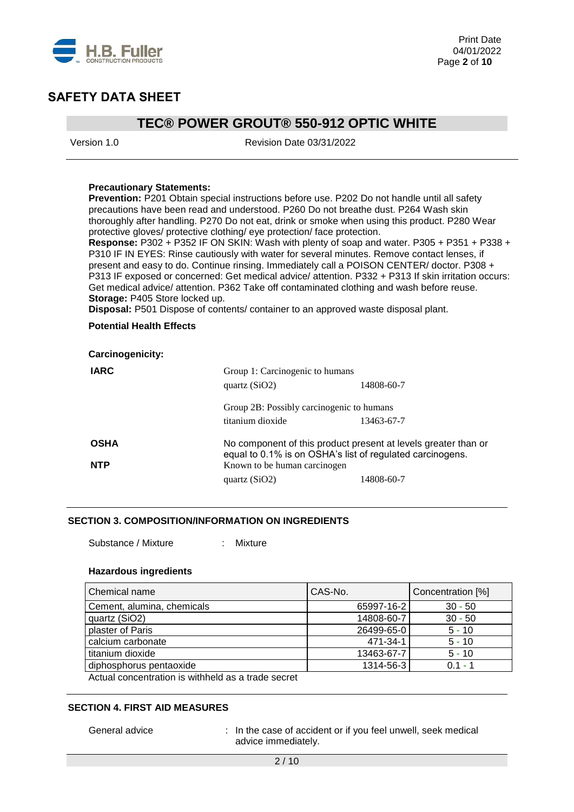

# **TEC® POWER GROUT® 550-912 OPTIC WHITE**

Version 1.0 Revision Date 03/31/2022

### **Precautionary Statements:**

**Prevention:** P201 Obtain special instructions before use. P202 Do not handle until all safety precautions have been read and understood. P260 Do not breathe dust. P264 Wash skin thoroughly after handling. P270 Do not eat, drink or smoke when using this product. P280 Wear protective gloves/ protective clothing/ eye protection/ face protection.

**Response:** P302 + P352 IF ON SKIN: Wash with plenty of soap and water. P305 + P351 + P338 + P310 IF IN EYES: Rinse cautiously with water for several minutes. Remove contact lenses, if present and easy to do. Continue rinsing. Immediately call a POISON CENTER/ doctor. P308 + P313 IF exposed or concerned: Get medical advice/ attention. P332 + P313 If skin irritation occurs: Get medical advice/ attention. P362 Take off contaminated clothing and wash before reuse. **Storage:** P405 Store locked up.

**Disposal:** P501 Dispose of contents/ container to an approved waste disposal plant.

### **Potential Health Effects**

| <b>Carcinogenicity:</b> |                                                                                                                             |            |  |
|-------------------------|-----------------------------------------------------------------------------------------------------------------------------|------------|--|
| <b>IARC</b>             | Group 1: Carcinogenic to humans<br>quartz $(SiO2)$                                                                          | 14808-60-7 |  |
|                         | Group 2B: Possibly carcinogenic to humans                                                                                   |            |  |
|                         | titanium dioxide                                                                                                            | 13463-67-7 |  |
| <b>OSHA</b>             | No component of this product present at levels greater than or<br>equal to 0.1% is on OSHA's list of regulated carcinogens. |            |  |
| <b>NTP</b>              | Known to be human carcinogen                                                                                                |            |  |
|                         | quartz $(SiO2)$                                                                                                             | 14808-60-7 |  |

### **SECTION 3. COMPOSITION/INFORMATION ON INGREDIENTS**

Substance / Mixture : Mixture

#### **Hazardous ingredients**

| Chemical name                                                     | CAS-No.    | Concentration [%] |
|-------------------------------------------------------------------|------------|-------------------|
| Cement, alumina, chemicals                                        | 65997-16-2 | $30 - 50$         |
| quartz (SiO2)                                                     | 14808-60-7 | $30 - 50$         |
| plaster of Paris                                                  | 26499-65-0 | $5 - 10$          |
| calcium carbonate                                                 | 471-34-1   | $5 - 10$          |
| titanium dioxide                                                  | 13463-67-7 | $5 - 10$          |
| diphosphorus pentaoxide                                           | 1314-56-3  | $0.1 - 1$         |
| المسموم والمسارم ومرادا والمططاط ويناوب والمساوية ومعواني المنباه |            |                   |

Actual concentration is withheld as a trade secret

### **SECTION 4. FIRST AID MEASURES**

General advice : In the case of accident or if you feel unwell, seek medical advice immediately.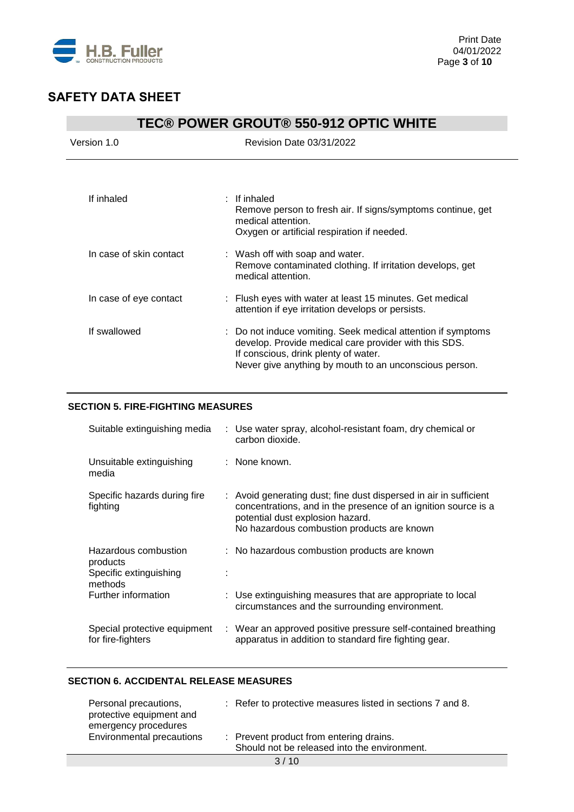

| <b>TEC® POWER GROUT® 550-912 OPTIC WHITE</b> |                                                                                                                                                                                                                         |  |  |
|----------------------------------------------|-------------------------------------------------------------------------------------------------------------------------------------------------------------------------------------------------------------------------|--|--|
| Version 1.0                                  | Revision Date 03/31/2022                                                                                                                                                                                                |  |  |
| If inhaled                                   | $:$ If inhaled                                                                                                                                                                                                          |  |  |
|                                              | Remove person to fresh air. If signs/symptoms continue, get<br>medical attention.<br>Oxygen or artificial respiration if needed.                                                                                        |  |  |
| In case of skin contact                      | : Wash off with soap and water.<br>Remove contaminated clothing. If irritation develops, get<br>medical attention.                                                                                                      |  |  |
| In case of eye contact                       | : Flush eyes with water at least 15 minutes. Get medical<br>attention if eye irritation develops or persists.                                                                                                           |  |  |
| If swallowed                                 | : Do not induce vomiting. Seek medical attention if symptoms<br>develop. Provide medical care provider with this SDS.<br>If conscious, drink plenty of water.<br>Never give anything by mouth to an unconscious person. |  |  |

# **SECTION 5. FIRE-FIGHTING MEASURES**

| Suitable extinguishing media                                          | : Use water spray, alcohol-resistant foam, dry chemical or<br>carbon dioxide.                                                                                                                                         |
|-----------------------------------------------------------------------|-----------------------------------------------------------------------------------------------------------------------------------------------------------------------------------------------------------------------|
| Unsuitable extinguishing<br>media                                     | : None known.                                                                                                                                                                                                         |
| Specific hazards during fire<br>fighting                              | : Avoid generating dust; fine dust dispersed in air in sufficient<br>concentrations, and in the presence of an ignition source is a<br>potential dust explosion hazard.<br>No hazardous combustion products are known |
| Hazardous combustion<br>products<br>Specific extinguishing<br>methods | : No hazardous combustion products are known                                                                                                                                                                          |
| Further information                                                   | : Use extinguishing measures that are appropriate to local<br>circumstances and the surrounding environment.                                                                                                          |
| Special protective equipment<br>for fire-fighters                     | : Wear an approved positive pressure self-contained breathing<br>apparatus in addition to standard fire fighting gear.                                                                                                |

## **SECTION 6. ACCIDENTAL RELEASE MEASURES**

| Personal precautions,<br>protective equipment and<br>emergency procedures | : Refer to protective measures listed in sections 7 and 8.                              |
|---------------------------------------------------------------------------|-----------------------------------------------------------------------------------------|
| Environmental precautions                                                 | : Prevent product from entering drains.<br>Should not be released into the environment. |
|                                                                           |                                                                                         |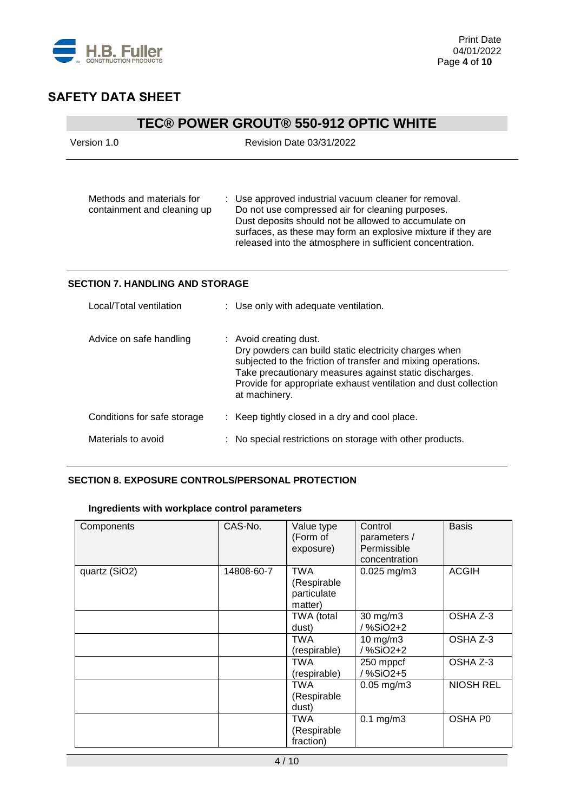

# **TEC® POWER GROUT® 550-912 OPTIC WHITE**

| Version 1.0                                              | Revision Date 03/31/2022                                                                                                                                                                                                                                                                       |  |  |
|----------------------------------------------------------|------------------------------------------------------------------------------------------------------------------------------------------------------------------------------------------------------------------------------------------------------------------------------------------------|--|--|
| Methods and materials for<br>containment and cleaning up | : Use approved industrial vacuum cleaner for removal.<br>Do not use compressed air for cleaning purposes.<br>Dust deposits should not be allowed to accumulate on<br>surfaces, as these may form an explosive mixture if they are<br>released into the atmosphere in sufficient concentration. |  |  |
| <b>SECTION 7. HANDLING AND STORAGE</b>                   |                                                                                                                                                                                                                                                                                                |  |  |
| Local/Total ventilation                                  | : Use only with adequate ventilation.                                                                                                                                                                                                                                                          |  |  |
| Advice on safe handling                                  | : Avoid creating dust.<br>Dry powders can build static electricity charges when<br>subjected to the friction of transfer and mixing operations.                                                                                                                                                |  |  |

| Local/Total ventilation     | : Use only with adequate ventilation.                                                                                                                                                                                                                                                         |  |
|-----------------------------|-----------------------------------------------------------------------------------------------------------------------------------------------------------------------------------------------------------------------------------------------------------------------------------------------|--|
| Advice on safe handling     | : Avoid creating dust.<br>Dry powders can build static electricity charges when<br>subjected to the friction of transfer and mixing operations.<br>Take precautionary measures against static discharges.<br>Provide for appropriate exhaust ventilation and dust collection<br>at machinery. |  |
| Conditions for safe storage | : Keep tightly closed in a dry and cool place.                                                                                                                                                                                                                                                |  |
| Materials to avoid          | : No special restrictions on storage with other products.                                                                                                                                                                                                                                     |  |
|                             |                                                                                                                                                                                                                                                                                               |  |

# **SECTION 8. EXPOSURE CONTROLS/PERSONAL PROTECTION**

# **Ingredients with workplace control parameters**

| Components    | CAS-No.    | Value type<br>(Form of<br>exposure)                 | Control<br>parameters /<br>Permissible<br>concentration | <b>Basis</b>     |
|---------------|------------|-----------------------------------------------------|---------------------------------------------------------|------------------|
| quartz (SiO2) | 14808-60-7 | <b>TWA</b><br>(Respirable<br>particulate<br>matter) | $0.025$ mg/m3                                           | <b>ACGIH</b>     |
|               |            | TWA (total<br>dust)                                 | 30 mg/m3<br>/ %SiO2+2                                   | OSHA Z-3         |
|               |            | TWA<br>(respirable)                                 | $10$ mg/m $3$<br>/%SiO2+2                               | OSHA Z-3         |
|               |            | TWA<br>(respirable)                                 | 250 mppcf<br>/ %SiO2+5                                  | OSHA Z-3         |
|               |            | TWA<br>(Respirable<br>dust)                         | $0.05$ mg/m $3$                                         | <b>NIOSH REL</b> |
|               |            | TWA<br>(Respirable<br>fraction)                     | $0.1$ mg/m $3$                                          | OSHA P0          |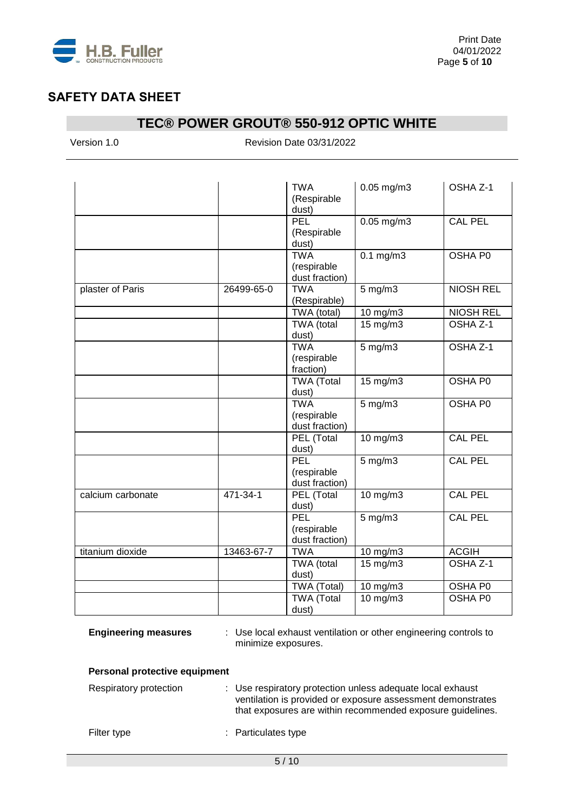

# **TEC® POWER GROUT® 550-912 OPTIC WHITE**

Version 1.0 Revision Date 03/31/2022

|                   |            | <b>TWA</b><br>(Respirable<br>dust)          | $0.05$ mg/m3      | OSHA Z-1            |
|-------------------|------------|---------------------------------------------|-------------------|---------------------|
|                   |            | <b>PEL</b><br>(Respirable<br>dust)          | $0.05$ mg/m3      | <b>CAL PEL</b>      |
|                   |            | <b>TWA</b><br>(respirable<br>dust fraction) | $0.1$ mg/m $3$    | OSHA P0             |
| plaster of Paris  | 26499-65-0 | <b>TWA</b><br>(Respirable)                  | $5$ mg/m $3$      | <b>NIOSH REL</b>    |
|                   |            | TWA (total)                                 | 10 mg/m3          | <b>NIOSH REL</b>    |
|                   |            | TWA (total<br>dust)                         | 15 mg/m3          | OSHA Z-1            |
|                   |            | <b>TWA</b><br>(respirable<br>fraction)      | $5$ mg/m $3$      | OSHA <sub>Z-1</sub> |
|                   |            | <b>TWA</b> (Total<br>dust)                  | $15 \text{ mg/m}$ | <b>OSHA P0</b>      |
|                   |            | <b>TWA</b><br>(respirable<br>dust fraction) | $5$ mg/m $3$      | OSHA P0             |
|                   |            | PEL (Total<br>dust)                         | 10 mg/m3          | <b>CAL PEL</b>      |
|                   |            | PEL<br>(respirable<br>dust fraction)        | $5$ mg/m $3$      | CAL PEL             |
| calcium carbonate | 471-34-1   | PEL (Total<br>dust)                         | $10$ mg/m $3$     | <b>CAL PEL</b>      |
|                   |            | PEL<br>(respirable<br>dust fraction)        | $5$ mg/m $3$      | <b>CAL PEL</b>      |
| titanium dioxide  | 13463-67-7 | <b>TWA</b>                                  | 10 mg/m3          | <b>ACGIH</b>        |
|                   |            | TWA (total<br>dust)                         | 15 mg/m3          | OSHA <sub>Z-1</sub> |
|                   |            | TWA (Total)                                 | 10 mg/m3          | OSHA P0             |
|                   |            | <b>TWA (Total</b><br>dust)                  | 10 mg/m3          | OSHA P0             |

**Engineering measures** : Use local exhaust ventilation or other engineering controls to minimize exposures.

## **Personal protective equipment**

| Respiratory protection | : Use respiratory protection unless adequate local exhaust<br>ventilation is provided or exposure assessment demonstrates<br>that exposures are within recommended exposure guidelines. |
|------------------------|-----------------------------------------------------------------------------------------------------------------------------------------------------------------------------------------|
| Filter type            | : Particulates type                                                                                                                                                                     |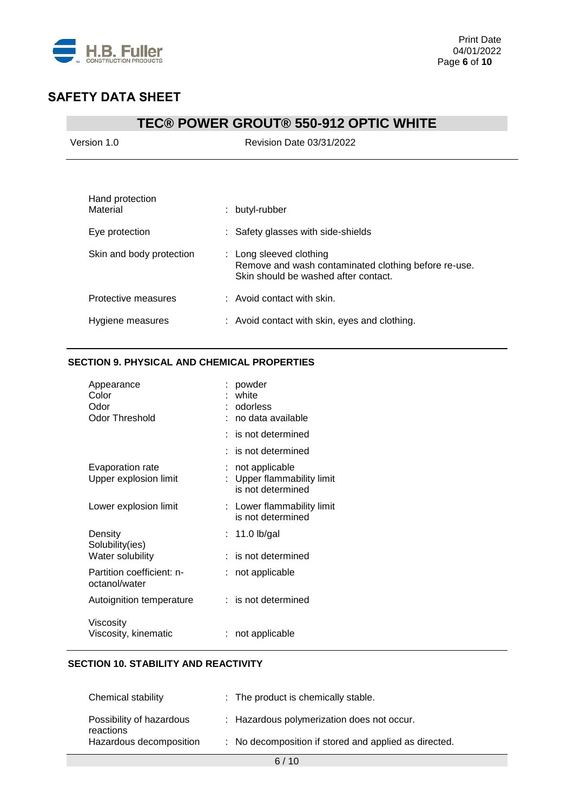

# **TEC® POWER GROUT® 550-912 OPTIC WHITE**

| Version 1.0 |  |
|-------------|--|
|             |  |

Revision Date 03/31/2022

| Hand protection<br>Material | butyl-rubber                                                                                                            |
|-----------------------------|-------------------------------------------------------------------------------------------------------------------------|
| Eye protection              | : Safety glasses with side-shields                                                                                      |
| Skin and body protection    | : Long sleeved clothing<br>Remove and wash contaminated clothing before re-use.<br>Skin should be washed after contact. |
| Protective measures         | $\therefore$ Avoid contact with skin.                                                                                   |
| Hygiene measures            | : Avoid contact with skin, eyes and clothing.                                                                           |

## **SECTION 9. PHYSICAL AND CHEMICAL PROPERTIES**

| Appearance<br>Color<br>Odor<br>Odor Threshold |    | powder<br>white<br>odorless<br>no data available                |
|-----------------------------------------------|----|-----------------------------------------------------------------|
|                                               |    | is not determined                                               |
|                                               |    | is not determined                                               |
| Evaporation rate<br>Upper explosion limit     |    | not applicable<br>Upper flammability limit<br>is not determined |
| Lower explosion limit                         |    | : Lower flammability limit<br>is not determined                 |
| Density<br>Solubility(ies)                    | t. | 11.0 $lb/gal$                                                   |
| Water solubility                              |    | is not determined                                               |
| Partition coefficient: n-<br>octanol/water    |    | not applicable                                                  |
| Autoignition temperature                      |    | $:$ is not determined                                           |
| Viscosity<br>Viscosity, kinematic             |    | not applicable                                                  |

# **SECTION 10. STABILITY AND REACTIVITY**

| Chemical stability                    | $\therefore$ The product is chemically stable.        |
|---------------------------------------|-------------------------------------------------------|
| Possibility of hazardous<br>reactions | : Hazardous polymerization does not occur.            |
| Hazardous decomposition               | : No decomposition if stored and applied as directed. |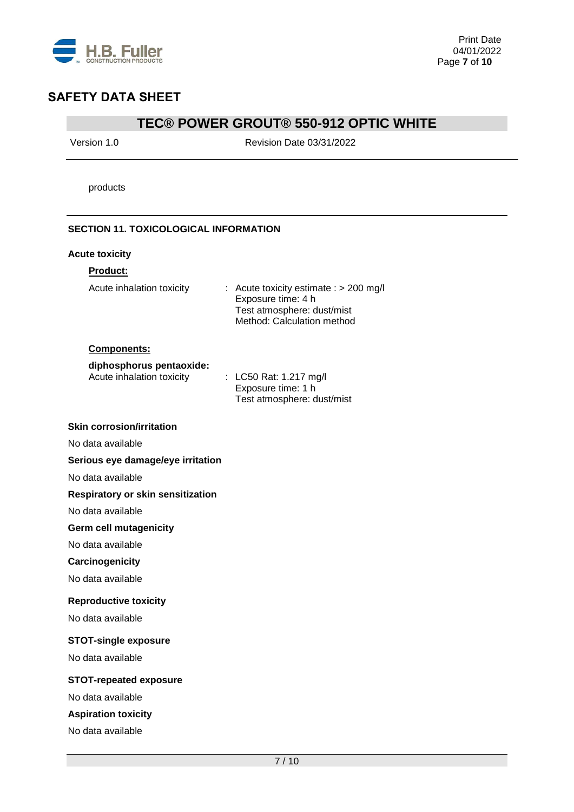

# **TEC® POWER GROUT® 550-912 OPTIC WHITE**

Version 1.0 Revision Date 03/31/2022

Method: Calculation method

products

## **SECTION 11. TOXICOLOGICAL INFORMATION**

### **Acute toxicity**

### **Product:**

| Acute inhalation toxicity | $\therefore$ Acute toxicity estimate $\therefore$ 200 mg/l |
|---------------------------|------------------------------------------------------------|
|                           | Exposure time: 4 h                                         |
|                           | Test atmosphere: dust/mist                                 |

#### **Components:**

#### **diphosphorus pentaoxide:**

| Acute inhalation toxicity | : LC50 Rat: 1.217 mg/l     |
|---------------------------|----------------------------|
|                           | Exposure time: 1 h         |
|                           | Test atmosphere: dust/mist |

#### **Skin corrosion/irritation**

No data available

## **Serious eye damage/eye irritation**

No data available

### **Respiratory or skin sensitization**

No data available

### **Germ cell mutagenicity**

No data available

### **Carcinogenicity**

No data available

#### **Reproductive toxicity**

No data available

### **STOT-single exposure**

No data available

# **STOT-repeated exposure**

No data available

### **Aspiration toxicity**

No data available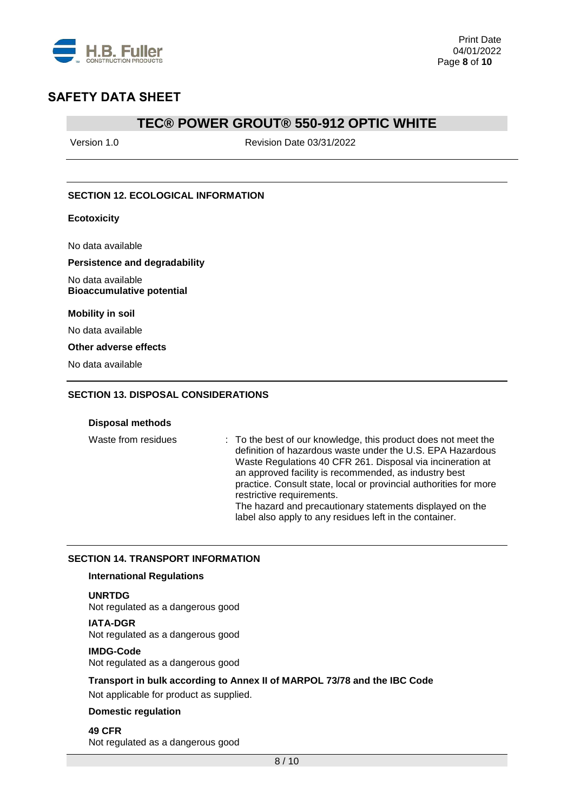

# **TEC® POWER GROUT® 550-912 OPTIC WHITE**

Version 1.0 Revision Date 03/31/2022

## **SECTION 12. ECOLOGICAL INFORMATION**

### **Ecotoxicity**

No data available

#### **Persistence and degradability**

No data available **Bioaccumulative potential**

**Mobility in soil**

No data available

### **Other adverse effects**

No data available

### **SECTION 13. DISPOSAL CONSIDERATIONS**

#### **Disposal methods**

Waste from residues : To the best of our knowledge, this product does not meet the definition of hazardous waste under the U.S. EPA Hazardous Waste Regulations 40 CFR 261. Disposal via incineration at an approved facility is recommended, as industry best practice. Consult state, local or provincial authorities for more restrictive requirements. The hazard and precautionary statements displayed on the label also apply to any residues left in the container.

#### **SECTION 14. TRANSPORT INFORMATION**

### **International Regulations**

#### **UNRTDG**

Not regulated as a dangerous good

#### **IATA-DGR**

Not regulated as a dangerous good

#### **IMDG-Code**

Not regulated as a dangerous good

## **Transport in bulk according to Annex II of MARPOL 73/78 and the IBC Code**

Not applicable for product as supplied.

### **Domestic regulation**

**49 CFR** Not regulated as a dangerous good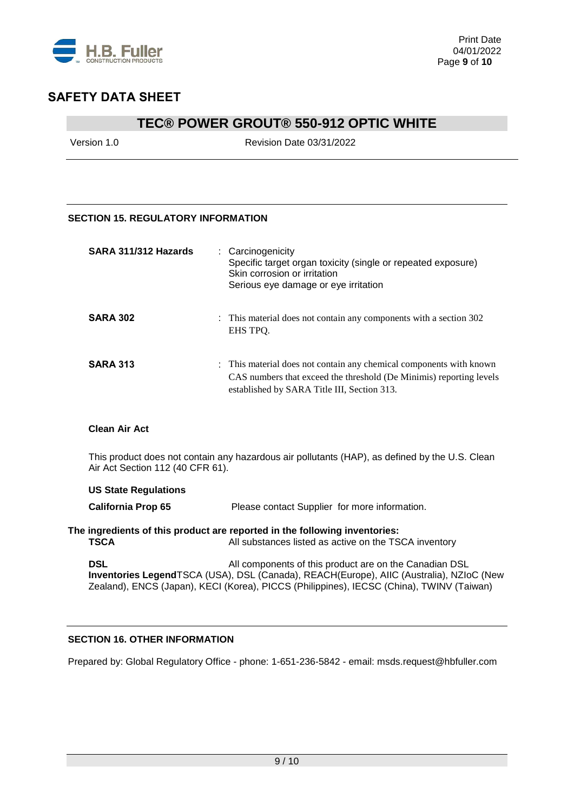

# **TEC® POWER GROUT® 550-912 OPTIC WHITE**

Version 1.0 Revision Date 03/31/2022

# **SECTION 15. REGULATORY INFORMATION**

| SARA 311/312 Hazards | : Carcinogenicity<br>Specific target organ toxicity (single or repeated exposure)<br>Skin corrosion or irritation<br>Serious eye damage or eye irritation                                 |
|----------------------|-------------------------------------------------------------------------------------------------------------------------------------------------------------------------------------------|
| <b>SARA 302</b>      | : This material does not contain any components with a section 302<br>EHS TPO.                                                                                                            |
| <b>SARA 313</b>      | : This material does not contain any chemical components with known<br>CAS numbers that exceed the threshold (De Minimis) reporting levels<br>established by SARA Title III, Section 313. |

### **Clean Air Act**

This product does not contain any hazardous air pollutants (HAP), as defined by the U.S. Clean Air Act Section 112 (40 CFR 61).

**US State Regulations California Prop 65** Please contact Supplier for more information.

**The ingredients of this product are reported in the following inventories: TSCA** All substances listed as active on the TSCA inventory

**DSL DSL** All components of this product are on the Canadian DSL **Inventories Legend**TSCA (USA), DSL (Canada), REACH(Europe), AIIC (Australia), NZIoC (New Zealand), ENCS (Japan), KECI (Korea), PICCS (Philippines), IECSC (China), TWINV (Taiwan)

## **SECTION 16. OTHER INFORMATION**

Prepared by: Global Regulatory Office - phone: 1-651-236-5842 - email: msds.request@hbfuller.com